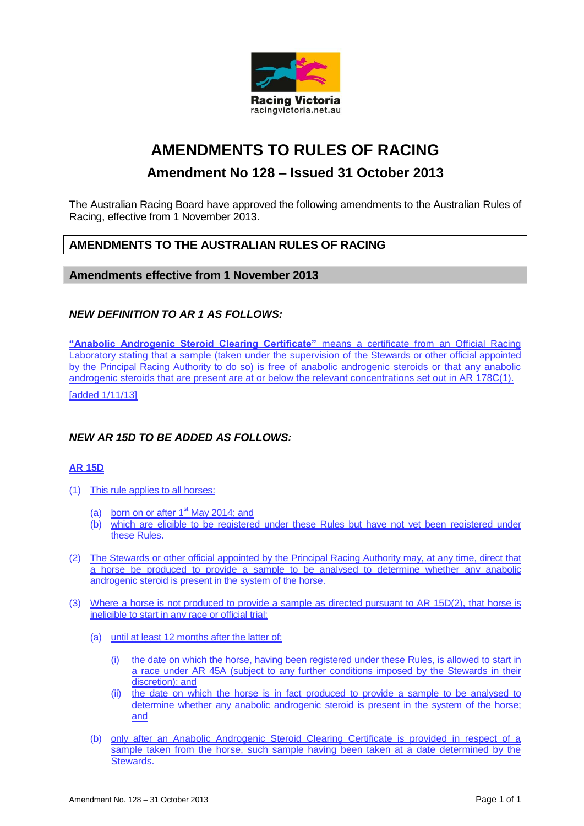

# **AMENDMENTS TO RULES OF RACING**

# **Amendment No 128 – Issued 31 October 2013**

The Australian Racing Board have approved the following amendments to the Australian Rules of Racing, effective from 1 November 2013.

# **AMENDMENTS TO THE AUSTRALIAN RULES OF RACING**

#### **Amendments effective from 1 November 2013**

### *NEW DEFINITION TO AR 1 AS FOLLOWS:*

**"Anabolic Androgenic Steroid Clearing Certificate"** means a certificate from an Official Racing Laboratory stating that a sample (taken under the supervision of the Stewards or other official appointed by the Principal Racing Authority to do so) is free of anabolic androgenic steroids or that any anabolic androgenic steroids that are present are at or below the relevant concentrations set out in AR 178C(1).

[added 1/11/13]

### *NEW AR 15D TO BE ADDED AS FOLLOWS:*

#### **AR 15D**

- (1) This rule applies to all horses:
	- (a) born on or after  $1<sup>st</sup>$  May 2014; and
	- (b) which are eligible to be registered under these Rules but have not yet been registered under these Rules.
- (2) The Stewards or other official appointed by the Principal Racing Authority may, at any time, direct that a horse be produced to provide a sample to be analysed to determine whether any anabolic androgenic steroid is present in the system of the horse.
- (3) Where a horse is not produced to provide a sample as directed pursuant to AR 15D(2), that horse is ineligible to start in any race or official trial:
	- (a) until at least 12 months after the latter of:
		- (i) the date on which the horse, having been registered under these Rules, is allowed to start in a race under AR 45A (subject to any further conditions imposed by the Stewards in their discretion); and
		- (ii) the date on which the horse is in fact produced to provide a sample to be analysed to determine whether any anabolic androgenic steroid is present in the system of the horse; and
	- (b) only after an Anabolic Androgenic Steroid Clearing Certificate is provided in respect of a sample taken from the horse, such sample having been taken at a date determined by the Stewards.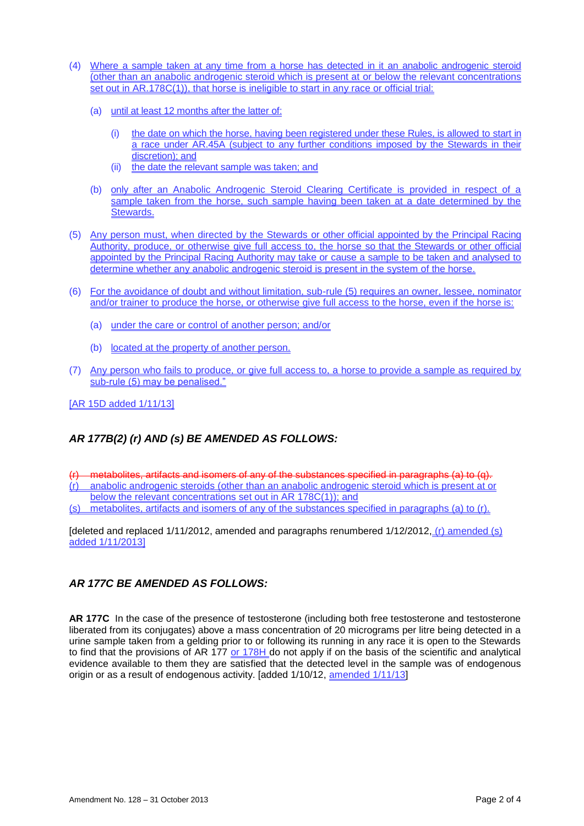- (4) Where a sample taken at any time from a horse has detected in it an anabolic androgenic steroid (other than an anabolic androgenic steroid which is present at or below the relevant concentrations set out in AR.178C(1)), that horse is ineligible to start in any race or official trial:
	- (a) until at least 12 months after the latter of:
		- (i) the date on which the horse, having been registered under these Rules, is allowed to start in a race under AR.45A (subject to any further conditions imposed by the Stewards in their discretion); and
		- (ii) the date the relevant sample was taken; and
	- (b) only after an Anabolic Androgenic Steroid Clearing Certificate is provided in respect of a sample taken from the horse, such sample having been taken at a date determined by the Stewards.
- (5) Any person must, when directed by the Stewards or other official appointed by the Principal Racing Authority, produce, or otherwise give full access to, the horse so that the Stewards or other official appointed by the Principal Racing Authority may take or cause a sample to be taken and analysed to determine whether any anabolic androgenic steroid is present in the system of the horse.
- (6) For the avoidance of doubt and without limitation, sub-rule (5) requires an owner, lessee, nominator and/or trainer to produce the horse, or otherwise give full access to the horse, even if the horse is:
	- (a) under the care or control of another person; and/or
	- (b) located at the property of another person.
- (7) Any person who fails to produce, or give full access to, a horse to provide a sample as required by sub-rule (5) may be penalised."

[AR 15D added 1/11/13]

# *AR 177B(2) (r) AND (s) BE AMENDED AS FOLLOWS:*

- metabolites, artifacts and isomers of any of the substances specified in paragraphs (a) to (q).
- (r) anabolic androgenic steroids (other than an anabolic androgenic steroid which is present at or below the relevant concentrations set out in AR 178C(1)); and
- (s) metabolites, artifacts and isomers of any of the substances specified in paragraphs (a) to (r).

[deleted and replaced 1/11/2012, amended and paragraphs renumbered 1/12/2012, (r) amended (s) added 1/11/2013]

### *AR 177C BE AMENDED AS FOLLOWS:*

**AR 177C** In the case of the presence of testosterone (including both free testosterone and testosterone liberated from its conjugates) above a mass concentration of 20 micrograms per litre being detected in a urine sample taken from a gelding prior to or following its running in any race it is open to the Stewards to find that the provisions of AR 177 or 178H do not apply if on the basis of the scientific and analytical evidence available to them they are satisfied that the detected level in the sample was of endogenous origin or as a result of endogenous activity. [added 1/10/12, amended 1/11/13]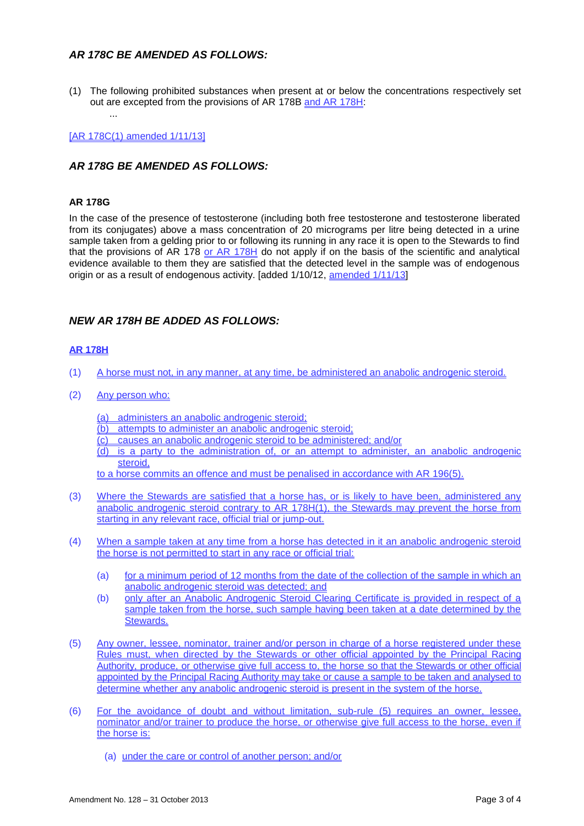### *AR 178C BE AMENDED AS FOLLOWS:*

(1) The following prohibited substances when present at or below the concentrations respectively set out are excepted from the provisions of AR 178B and AR 178H:

[AR 178C(1) amended 1/11/13]

...

#### *AR 178G BE AMENDED AS FOLLOWS:*

#### **AR 178G**

In the case of the presence of testosterone (including both free testosterone and testosterone liberated from its conjugates) above a mass concentration of 20 micrograms per litre being detected in a urine sample taken from a gelding prior to or following its running in any race it is open to the Stewards to find that the provisions of AR 178 or  $AR$  178H do not apply if on the basis of the scientific and analytical evidence available to them they are satisfied that the detected level in the sample was of endogenous origin or as a result of endogenous activity. [added 1/10/12, amended 1/11/13]

#### *NEW AR 178H BE ADDED AS FOLLOWS:*

#### **AR 178H**

- (1) A horse must not, in any manner, at any time, be administered an anabolic androgenic steroid.
- (2) Any person who:
	- (a) administers an anabolic androgenic steroid;
	- (b) attempts to administer an anabolic androgenic steroid;
	- (c) causes an anabolic androgenic steroid to be administered; and/or
	- (d) is a party to the administration of, or an attempt to administer, an anabolic androgenic steroid,

to a horse commits an offence and must be penalised in accordance with AR 196(5).

- (3) Where the Stewards are satisfied that a horse has, or is likely to have been, administered any anabolic androgenic steroid contrary to AR 178H(1), the Stewards may prevent the horse from starting in any relevant race, official trial or jump-out.
- (4) When a sample taken at any time from a horse has detected in it an anabolic androgenic steroid the horse is not permitted to start in any race or official trial:
	- (a) for a minimum period of 12 months from the date of the collection of the sample in which an anabolic androgenic steroid was detected; and
	- (b) only after an Anabolic Androgenic Steroid Clearing Certificate is provided in respect of a sample taken from the horse, such sample having been taken at a date determined by the Stewards.
- (5) Any owner, lessee, nominator, trainer and/or person in charge of a horse registered under these Rules must, when directed by the Stewards or other official appointed by the Principal Racing Authority, produce, or otherwise give full access to, the horse so that the Stewards or other official appointed by the Principal Racing Authority may take or cause a sample to be taken and analysed to determine whether any anabolic androgenic steroid is present in the system of the horse.
- (6) For the avoidance of doubt and without limitation, sub-rule (5) requires an owner, lessee, nominator and/or trainer to produce the horse, or otherwise give full access to the horse, even if the horse is:
	- (a) under the care or control of another person; and/or